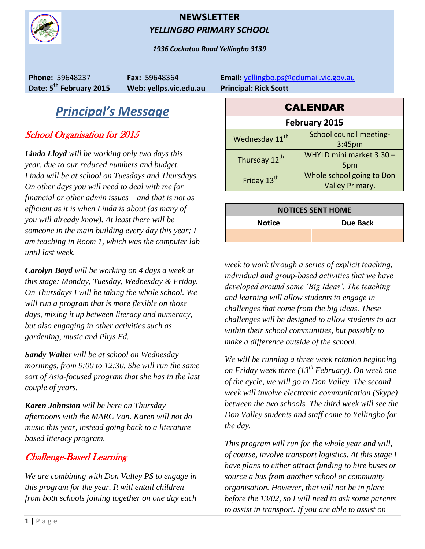

#### **NEWSLETTER** *YELLINGBO PRIMARY SCHOOL*

*1936 Cockatoo Road Yellingbo 3139*

| <b>Phone: 59648237</b>              | <b>Fax: 59648364</b>   | Email: yellingbo.ps@edumail.vic.gov.au |
|-------------------------------------|------------------------|----------------------------------------|
| Date: 5 <sup>th</sup> February 2015 | Web: yellps.vic.edu.au | <b>Principal: Rick Scott</b>           |

# *Principal's Message*

### School Organisation for 2015

*Linda Lloyd will be working only two days this year, due to our reduced numbers and budget. Linda will be at school on Tuesdays and Thursdays. On other days you will need to deal with me for financial or other admin issues – and that is not as efficient as it is when Linda is about (as many of you will already know). At least there will be someone in the main building every day this year; I am teaching in Room 1, which was the computer lab until last week.*

*Carolyn Boyd will be working on 4 days a week at this stage: Monday, Tuesday, Wednesday & Friday. On Thursdays I will be taking the whole school. We will run a program that is more flexible on those days, mixing it up between literacy and numeracy, but also engaging in other activities such as gardening, music and Phys Ed.* 

*Sandy Walter will be at school on Wednesday mornings, from 9:00 to 12:30. She will run the same sort of Asia-focused program that she has in the last couple of years.*

*Karen Johnston will be here on Thursday afternoons with the MARC Van. Karen will not do music this year, instead going back to a literature based literacy program.*

### Challenge-Based Learning

*We are combining with Don Valley PS to engage in this program for the year. It will entail children from both schools joining together on one day each* 

| <b>February 2015</b>       |                           |  |  |
|----------------------------|---------------------------|--|--|
| Wednesday 11 <sup>th</sup> | School council meeting-   |  |  |
|                            | 3:45 <sub>pm</sub>        |  |  |
| Thursday 12 <sup>th</sup>  | WHYLD mini market 3:30 -  |  |  |
|                            | 5pm                       |  |  |
| Friday 13 <sup>th</sup>    | Whole school going to Don |  |  |
|                            | <b>Valley Primary.</b>    |  |  |

**CALENDAR** 

| <b>NOTICES SENT HOME</b> |          |  |
|--------------------------|----------|--|
| <b>Notice</b>            | Due Back |  |
|                          |          |  |

*week to work through a series of explicit teaching, individual and group-based activities that we have developed around some 'Big Ideas'. The teaching and learning will allow students to engage in challenges that come from the big ideas. These challenges will be designed to allow students to act within their school communities, but possibly to make a difference outside of the school.*

*We will be running a three week rotation beginning on Friday week three (13th February). On week one of the cycle, we will go to Don Valley. The second week will involve electronic communication (Skype) between the two schools. The third week will see the Don Valley students and staff come to Yellingbo for the day.*

*This program will run for the whole year and will, of course, involve transport logistics. At this stage I have plans to either attract funding to hire buses or source a bus from another school or community organisation. However, that will not be in place before the 13/02, so I will need to ask some parents to assist in transport. If you are able to assist on*